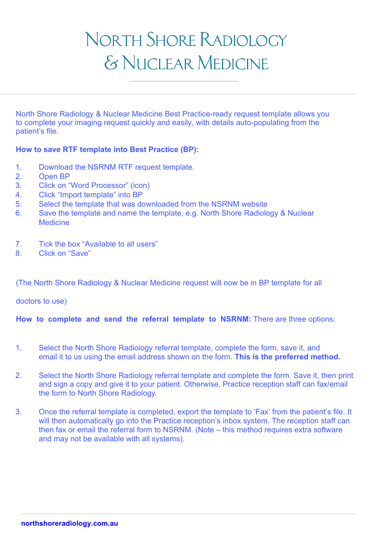# NORTH SHORE RADIOLOGY & NUCLEAR MEDICINE

North Shore Radiology & Nuclear Medicine Best Practice-ready request template allows you to complete your imaging request quickly and easily, with details auto-populating from the patient's file.

### **How to save RTF template into Best Practice (BP):**

- 1. Download the NSRNM RTF request template.
- 2. Open BP
- 3. Click on "Word Processor" (icon)
- 4. Click "Import template" into BP
- 5. Select the template that was downloaded from the NSRNM website
- 6. Save the template and name the template, e.g. North Shore Radiology & Nuclear **Medicine**
- 7. Tick the box "Available to all users"
- 8. Click on "Save"

(The North Shore Radiology & Nuclear Medicine request will now be in BP template for all

doctors to use)

**How to complete and send the referral template to NSRNM:** There are three options:

- 1. Select the North Shore Radiology referral template, complete the form, save it, and email it to us using the email address shown on the form. **This is the preferred method.**
- 2. Select the North Shore Radiology referral template and complete the form. Save it, then print and sign a copy and give it to your patient. Otherwise, Practice reception staff can fax/email the form to North Shore Radiology.
- 3. Once the referral template is completed, export the template to 'Fax' from the patient's file. It will then automatically go into the Practice reception's inbox system. The reception staff can then fax or email the referral form to NSRNM. (Note – this method requires extra software and may not be available with all systems).